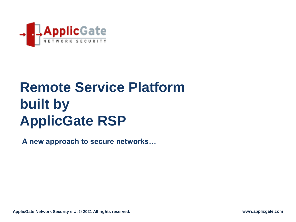

# **Remote Service Platform built by ApplicGate RSP**

**A new approach to secure networks…**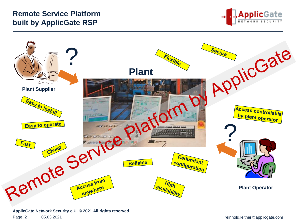# **Remote Service Platform built by ApplicGate RSP**





**ApplicGate Network Security e.U. © 2021 All rights reserved.**

Page 2 05.03.2021 05:03.2021 05:03.2021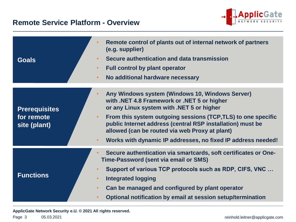#### **Remote Service Platform - Overview**



| <b>Goals</b>               | Remote control of plants out of internal network of partners<br>(e.g. supplier)<br>Secure authentication and data transmission<br><b>Full control by plant operator</b><br>$\bullet$<br>No additional hardware necessary<br>$\bullet$ |  |
|----------------------------|---------------------------------------------------------------------------------------------------------------------------------------------------------------------------------------------------------------------------------------|--|
|                            |                                                                                                                                                                                                                                       |  |
| <b>Prerequisites</b>       | Any Windows system (Windows 10, Windows Server)<br>with .NET 4.8 Framework or .NET 5 or higher<br>or any Linux system with .NET 5 or higher                                                                                           |  |
| for remote<br>site (plant) | From this system outgoing sessions (TCP, TLS) to one specific<br>$\bullet$<br>public Internet address (central RSP installation) must be<br>allowed (can be routed via web Proxy at plant)                                            |  |
|                            | Works with dynamic IP addresses, no fixed IP address needed!<br>$\bullet$                                                                                                                                                             |  |
|                            | Secure authentication via smartcards, soft certificates or One-<br>Time-Password (sent via email or SMS)                                                                                                                              |  |
|                            | Support of various TCP protocols such as RDP, CIFS, VNC                                                                                                                                                                               |  |
| <b>Functions</b>           | <b>Integrated logging</b><br>$\bullet$                                                                                                                                                                                                |  |
|                            | Can be managed and configured by plant operator                                                                                                                                                                                       |  |
|                            | Optional notification by email at session setup/termination                                                                                                                                                                           |  |
|                            |                                                                                                                                                                                                                                       |  |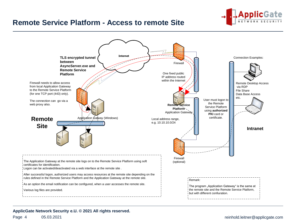

#### **Remote Service Platform - Access to remote Site**

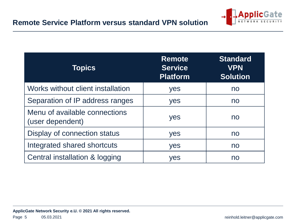

| <b>Topics</b>                                     | <b>Remote</b><br><b>Service</b><br><b>Platform</b> | <b>Standard</b><br><b>VPN</b><br><b>Solution</b> |
|---------------------------------------------------|----------------------------------------------------|--------------------------------------------------|
| Works without client installation                 | yes                                                | no                                               |
| Separation of IP address ranges                   | yes                                                | no                                               |
| Menu of available connections<br>(user dependent) | yes                                                | no                                               |
| Display of connection status                      | yes                                                | no                                               |
| Integrated shared shortcuts                       | yes                                                | no                                               |
| Central installation & logging                    | yes                                                | no                                               |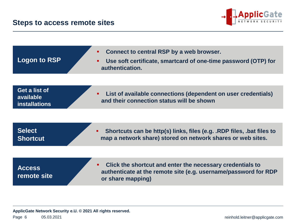

| <b>Logon to RSP</b>                                | Connect to central RSP by a web browser.<br>٠<br>Use soft certificate, smartcard of one-time password (OTP) for<br>٠<br>authentication.           |
|----------------------------------------------------|---------------------------------------------------------------------------------------------------------------------------------------------------|
|                                                    |                                                                                                                                                   |
| Get a list of<br>available<br><b>installations</b> | List of available connections (dependent on user credentials)<br>٠<br>and their connection status will be shown                                   |
|                                                    |                                                                                                                                                   |
| <b>Select</b><br><b>Shortcut</b>                   | Shortcuts can be http(s) links, files (e.g. .RDP files, .bat files to<br>٠<br>map a network share) stored on network shares or web sites.         |
|                                                    |                                                                                                                                                   |
| <b>Access</b><br>remote site                       | Click the shortcut and enter the necessary credentials to<br>authenticate at the remote site (e.g. username/password for RDP<br>or share mapping) |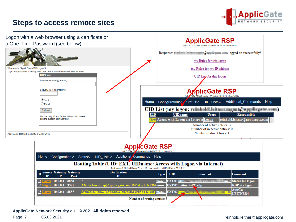#### **Steps to access remote sites**





**ApplicGate Network Security e.U. © 2021 All rights reserved.**

#### Page 7 05.03.2021 05.03.2021 **reinhold.leitner@applicgate.com**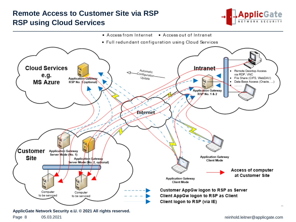## **Remote Access to Customer Site via RSP RSP using Cloud Services**



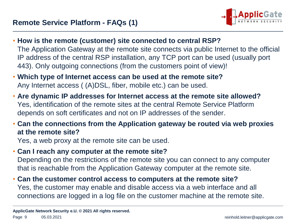

- **How is the remote (customer) site connected to central RSP?** The Application Gateway at the remote site connects via public Internet to the official IP address of the central RSP installation, any TCP port can be used (usually port 443). Only outgoing connections (from the customers point of view)!
- **Which type of Internet access can be used at the remote site?** Any Internet access ( (A)DSL, fiber, mobile etc.) can be used.
- **Are dynamic IP addresses for Internet access at the remote site allowed?** Yes, identification of the remote sites at the central Remote Service Platform depends on soft certificates and not on IP addresses of the sender.
- **Can the connections from the Application gateway be routed via web proxies at the remote site?**

Yes, a web proxy at the remote site can be used.

• **Can I reach any computer at the remote site?**

Depending on the restrictions of the remote site you can connect to any computer that is reachable from the Application Gateway computer at the remote site.

• **Can the customer control access to computers at the remote site?** Yes, the customer may enable and disable access via a web interface and all connections are logged in a log file on the customer machine at the remote site.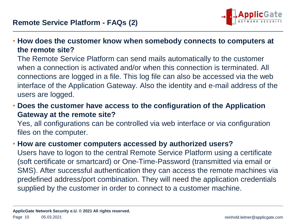

• **How does the customer know when somebody connects to computers at the remote site?**

The Remote Service Platform can send mails automatically to the customer when a connection is activated and/or when this connection is terminated. All connections are logged in a file. This log file can also be accessed via the web interface of the Application Gateway. Also the identity and e-mail address of the users are logged.

• **Does the customer have access to the configuration of the Application Gateway at the remote site?**

Yes, all configurations can be controlled via web interface or via configuration files on the computer.

#### • **How are customer computers accessed by authorized users?**

Users have to logon to the central Remote Service Platform using a certificate (soft certificate or smartcard) or One-Time-Password (transmitted via email or SMS). After successful authentication they can access the remote machines via predefined address/port combination. They will need the application credentials supplied by the customer in order to connect to a customer machine.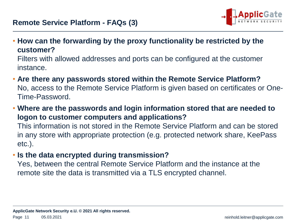

• **How can the forwarding by the proxy functionality be restricted by the customer?**

Filters with allowed addresses and ports can be configured at the customer instance.

- **Are there any passwords stored within the Remote Service Platform?** No, access to the Remote Service Platform is given based on certificates or One-Time-Password.
- **Where are the passwords and login information stored that are needed to logon to customer computers and applications?**

This information is not stored in the Remote Service Platform and can be stored in any store with appropriate protection (e.g. protected network share, KeePass etc.).

• **Is the data encrypted during transmission?**

Yes, between the central Remote Service Platform and the instance at the remote site the data is transmitted via a TLS encrypted channel.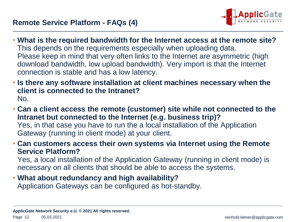

- **What is the required bandwidth for the Internet access at the remote site?** This depends on the requirements especially when uploading data. Please keep in mind that very often links to the Internet are asymmetric (high download bandwidth, low upload bandwidth). Very import is that the Internet connection is stable and has a low latency.
- **Is there any software installation at client machines necessary when the client is connected to the Intranet?** No.
- **Can a client access the remote (customer) site while not connected to the Intranet but connected to the Internet (e.g. business trip)?** Yes, in that case you have to run the a local installation of the Application Gateway (running in client mode) at your client.
- **Can customers access their own systems via Internet using the Remote Service Platform?**

Yes, a local installation of the Application Gateway (running in client mode) is necessary on all clients that should be able to access the systems.

#### • **What about redundancy and high availability?** Application Gateways can be configured as hot-standby.